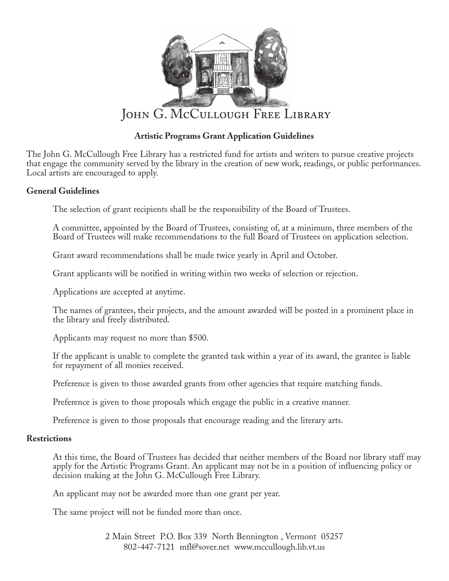

## **Artistic Programs Grant Application Guidelines**

The John G. McCullough Free Library has a restricted fund for artists and writers to pursue creative projects that engage the community served by the library in the creation of new work, readings, or public performances. Local artists are encouraged to apply.

## **General Guidelines**

The selection of grant recipients shall be the responsibility of the Board of Trustees.

A committee, appointed by the Board of Trustees, consisting of, at a minimum, three members of the Board of Trustees will make recommendations to the full Board of Trustees on application selection.

Grant award recommendations shall be made twice yearly in April and October.

Grant applicants will be notified in writing within two weeks of selection or rejection.

Applications are accepted at anytime.

The names of grantees, their projects, and the amount awarded will be posted in a prominent place in the library and freely distributed.

Applicants may request no more than \$500.

If the applicant is unable to complete the granted task within a year of its award, the grantee is liable for repayment of all monies received.

Preference is given to those awarded grants from other agencies that require matching funds.

Preference is given to those proposals which engage the public in a creative manner.

Preference is given to those proposals that encourage reading and the literary arts.

## **Restrictions**

At this time, the Board of Trustees has decided that neither members of the Board nor library staff may apply for the Artistic Programs Grant. An applicant may not be in a position of influencing policy or decision making at the John G. McCullough Free Library.

An applicant may not be awarded more than one grant per year.

The same project will not be funded more than once.

2 Main Street P.O. Box 339 North Bennington , Vermont 05257 802-447-7121 mfl@sover.net www.mccullough.lib.vt.us